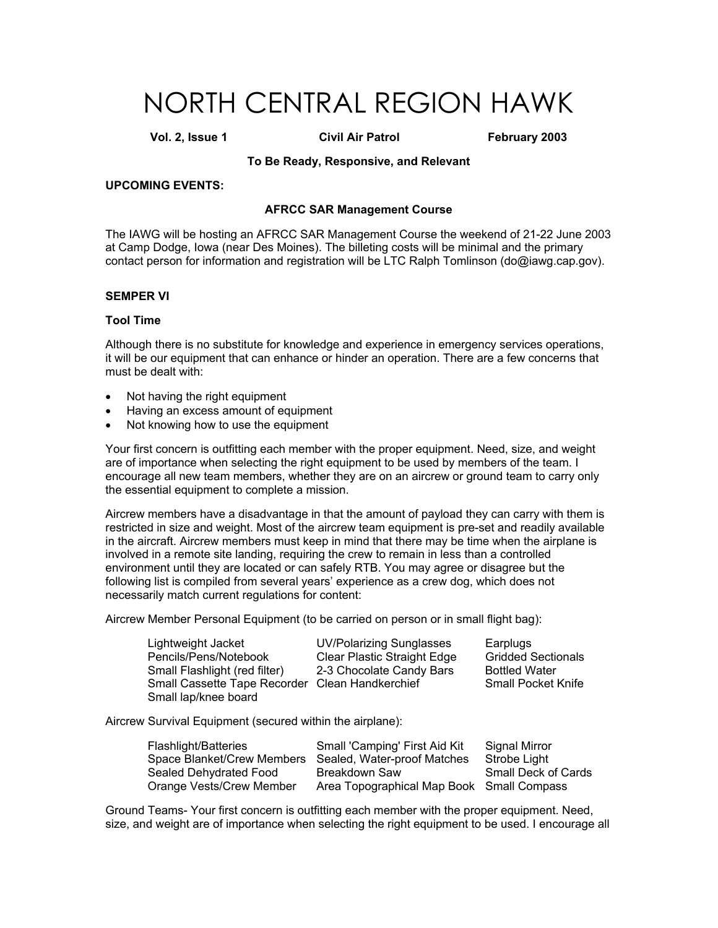# NORTH CENTRAL REGION HAWK

**Vol. 2, Issue 1 Civil Air Patrol February 2003** 

#### **To Be Ready, Responsive, and Relevant**

#### **UPCOMING EVENTS:**

#### **AFRCC SAR Management Course**

The IAWG will be hosting an AFRCC SAR Management Course the weekend of 21-22 June 2003 at Camp Dodge, Iowa (near Des Moines). The billeting costs will be minimal and the primary contact person for information and registration will be LTC Ralph Tomlinson (do@iawg.cap.gov).

#### **SEMPER VI**

#### **Tool Time**

Although there is no substitute for knowledge and experience in emergency services operations, it will be our equipment that can enhance or hinder an operation. There are a few concerns that must be dealt with:

- Not having the right equipment
- Having an excess amount of equipment
- Not knowing how to use the equipment

Your first concern is outfitting each member with the proper equipment. Need, size, and weight are of importance when selecting the right equipment to be used by members of the team. I encourage all new team members, whether they are on an aircrew or ground team to carry only the essential equipment to complete a mission.

Aircrew members have a disadvantage in that the amount of payload they can carry with them is restricted in size and weight. Most of the aircrew team equipment is pre-set and readily available in the aircraft. Aircrew members must keep in mind that there may be time when the airplane is involved in a remote site landing, requiring the crew to remain in less than a controlled environment until they are located or can safely RTB. You may agree or disagree but the following list is compiled from several years' experience as a crew dog, which does not necessarily match current regulations for content:

Aircrew Member Personal Equipment (to be carried on person or in small flight bag):

| Lightweight Jacket                              | <b>UV/Polarizing Sunglasses</b>    | Earplugs                  |
|-------------------------------------------------|------------------------------------|---------------------------|
| Pencils/Pens/Notebook                           | <b>Clear Plastic Straight Edge</b> | <b>Gridded Sectionals</b> |
| Small Flashlight (red filter)                   | 2-3 Chocolate Candy Bars           | <b>Bottled Water</b>      |
| Small Cassette Tape Recorder Clean Handkerchief |                                    | <b>Small Pocket Knife</b> |
| Small lap/knee board                            |                                    |                           |

Aircrew Survival Equipment (secured within the airplane):

| <b>Flashlight/Batteries</b> | Small 'Camping' First Aid Kit                          | Signal Mirror       |
|-----------------------------|--------------------------------------------------------|---------------------|
|                             | Space Blanket/Crew Members Sealed, Water-proof Matches | Strobe Light        |
| Sealed Dehydrated Food      | Breakdown Saw                                          | Small Deck of Cards |
| Orange Vests/Crew Member    | Area Topographical Map Book Small Compass              |                     |

Ground Teams- Your first concern is outfitting each member with the proper equipment. Need, size, and weight are of importance when selecting the right equipment to be used. I encourage all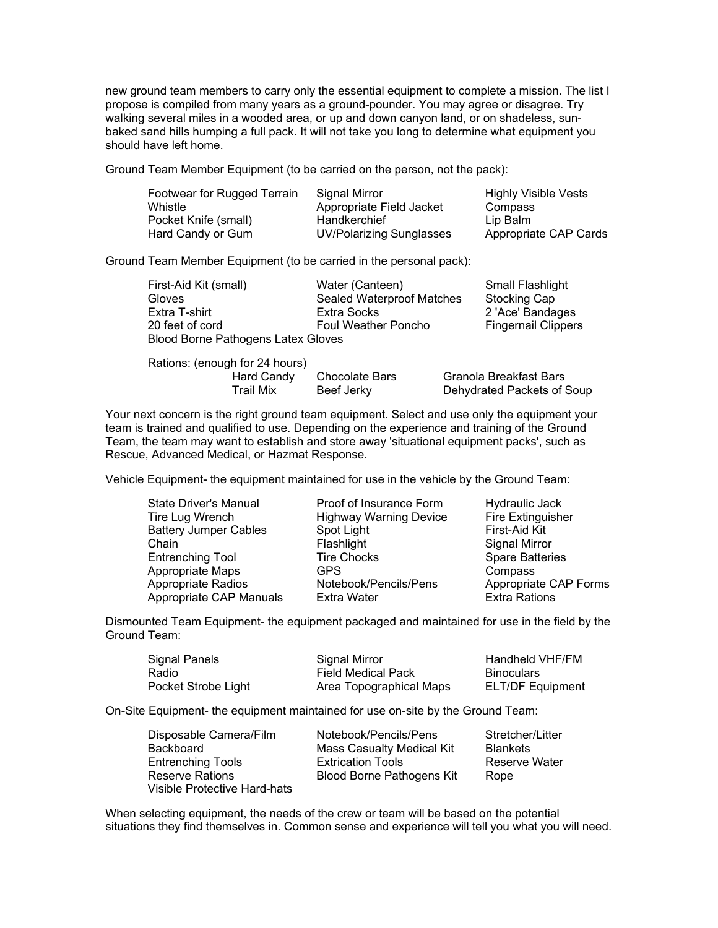new ground team members to carry only the essential equipment to complete a mission. The list I propose is compiled from many years as a ground-pounder. You may agree or disagree. Try walking several miles in a wooded area, or up and down canyon land, or on shadeless, sunbaked sand hills humping a full pack. It will not take you long to determine what equipment you should have left home.

Ground Team Member Equipment (to be carried on the person, not the pack):

| Signal Mirror                   | <b>Highly Visible Vests</b> |
|---------------------------------|-----------------------------|
| Appropriate Field Jacket        | Compass                     |
| Handkerchief                    | Lip Balm                    |
| <b>UV/Polarizing Sunglasses</b> | Appropriate CAP Cards       |
|                                 |                             |

Ground Team Member Equipment (to be carried in the personal pack):

| First-Aid Kit (small)              | Water (Canteen)            | <b>Small Flashlight</b>    |
|------------------------------------|----------------------------|----------------------------|
| <b>Gloves</b>                      | Sealed Waterproof Matches  | Stocking Cap               |
| Extra T-shirt                      | Extra Socks                | 2 'Ace' Bandages           |
| 20 feet of cord                    | <b>Foul Weather Poncho</b> | <b>Fingernail Clippers</b> |
| Blood Borne Pathogens Latex Gloves |                            |                            |

| Rations: (enough for 24 hours) |                |                            |
|--------------------------------|----------------|----------------------------|
| Hard Candy                     | Chocolate Bars | Granola Breakfast Bars     |
| Trail Mix                      | Beef Jerky     | Dehydrated Packets of Soup |

Your next concern is the right ground team equipment. Select and use only the equipment your team is trained and qualified to use. Depending on the experience and training of the Ground Team, the team may want to establish and store away 'situational equipment packs', such as Rescue, Advanced Medical, or Hazmat Response.

Vehicle Equipment- the equipment maintained for use in the vehicle by the Ground Team:

| <b>State Driver's Manual</b> | Proof of Insurance Form       | Hydraulic Jack         |
|------------------------------|-------------------------------|------------------------|
| Tire Lug Wrench              | <b>Highway Warning Device</b> | Fire Extinguisher      |
| <b>Battery Jumper Cables</b> | Spot Light                    | First-Aid Kit          |
| Chain                        | Flashlight                    | Signal Mirror          |
| Entrenching Tool             | <b>Tire Chocks</b>            | <b>Spare Batteries</b> |
| Appropriate Maps             | <b>GPS</b>                    | Compass                |
| Appropriate Radios           | Notebook/Pencils/Pens         | Appropriate CAP Forms  |
| Appropriate CAP Manuals      | <b>Extra Water</b>            | <b>Extra Rations</b>   |

Dismounted Team Equipment- the equipment packaged and maintained for use in the field by the Ground Team:

| Signal Panels       | Signal Mirror             | Handheld VHF/FM         |
|---------------------|---------------------------|-------------------------|
| Radio               | <b>Field Medical Pack</b> | <b>Binoculars</b>       |
| Pocket Strobe Light | Area Topographical Maps   | <b>ELT/DF Equipment</b> |

On-Site Equipment- the equipment maintained for use on-site by the Ground Team:

| Disposable Camera/Film       | Notebook/Pencils/Pens     | Stretcher/Litter |
|------------------------------|---------------------------|------------------|
| Backboard                    | Mass Casualty Medical Kit | <b>Blankets</b>  |
| <b>Entrenching Tools</b>     | <b>Extrication Tools</b>  | Reserve Water    |
| <b>Reserve Rations</b>       | Blood Borne Pathogens Kit | Rope             |
| Visible Protective Hard-hats |                           |                  |

When selecting equipment, the needs of the crew or team will be based on the potential situations they find themselves in. Common sense and experience will tell you what you will need.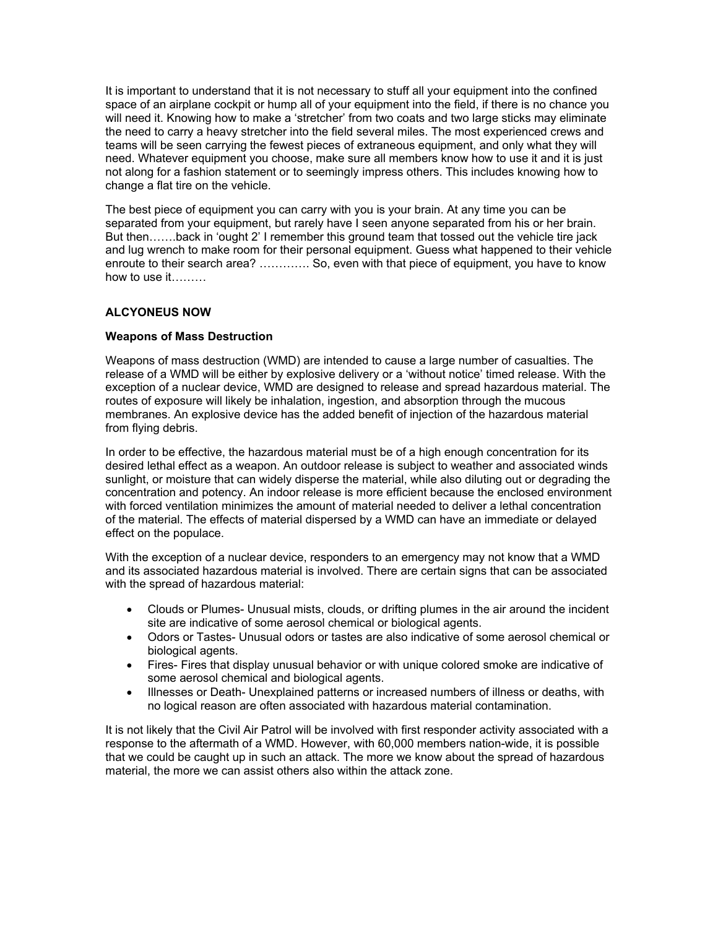It is important to understand that it is not necessary to stuff all your equipment into the confined space of an airplane cockpit or hump all of your equipment into the field, if there is no chance you will need it. Knowing how to make a 'stretcher' from two coats and two large sticks may eliminate the need to carry a heavy stretcher into the field several miles. The most experienced crews and teams will be seen carrying the fewest pieces of extraneous equipment, and only what they will need. Whatever equipment you choose, make sure all members know how to use it and it is just not along for a fashion statement or to seemingly impress others. This includes knowing how to change a flat tire on the vehicle.

The best piece of equipment you can carry with you is your brain. At any time you can be separated from your equipment, but rarely have I seen anyone separated from his or her brain. But then…….back in 'ought 2' I remember this ground team that tossed out the vehicle tire jack and lug wrench to make room for their personal equipment. Guess what happened to their vehicle enroute to their search area? …………. So, even with that piece of equipment, you have to know how to use it………

# **ALCYONEUS NOW**

## **Weapons of Mass Destruction**

Weapons of mass destruction (WMD) are intended to cause a large number of casualties. The release of a WMD will be either by explosive delivery or a 'without notice' timed release. With the exception of a nuclear device, WMD are designed to release and spread hazardous material. The routes of exposure will likely be inhalation, ingestion, and absorption through the mucous membranes. An explosive device has the added benefit of injection of the hazardous material from flying debris.

In order to be effective, the hazardous material must be of a high enough concentration for its desired lethal effect as a weapon. An outdoor release is subject to weather and associated winds sunlight, or moisture that can widely disperse the material, while also diluting out or degrading the concentration and potency. An indoor release is more efficient because the enclosed environment with forced ventilation minimizes the amount of material needed to deliver a lethal concentration of the material. The effects of material dispersed by a WMD can have an immediate or delayed effect on the populace.

With the exception of a nuclear device, responders to an emergency may not know that a WMD and its associated hazardous material is involved. There are certain signs that can be associated with the spread of hazardous material:

- Clouds or Plumes- Unusual mists, clouds, or drifting plumes in the air around the incident site are indicative of some aerosol chemical or biological agents.
- Odors or Tastes- Unusual odors or tastes are also indicative of some aerosol chemical or biological agents.
- Fires- Fires that display unusual behavior or with unique colored smoke are indicative of some aerosol chemical and biological agents.
- Illnesses or Death- Unexplained patterns or increased numbers of illness or deaths, with no logical reason are often associated with hazardous material contamination.

It is not likely that the Civil Air Patrol will be involved with first responder activity associated with a response to the aftermath of a WMD. However, with 60,000 members nation-wide, it is possible that we could be caught up in such an attack. The more we know about the spread of hazardous material, the more we can assist others also within the attack zone.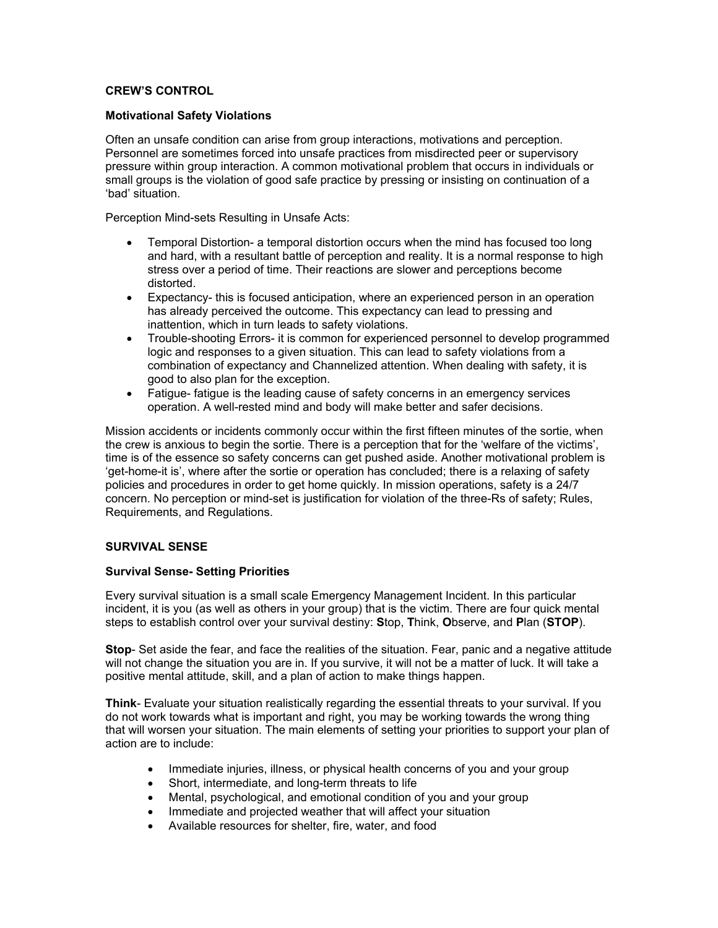## **CREW'S CONTROL**

#### **Motivational Safety Violations**

Often an unsafe condition can arise from group interactions, motivations and perception. Personnel are sometimes forced into unsafe practices from misdirected peer or supervisory pressure within group interaction. A common motivational problem that occurs in individuals or small groups is the violation of good safe practice by pressing or insisting on continuation of a 'bad' situation.

Perception Mind-sets Resulting in Unsafe Acts:

- Temporal Distortion- a temporal distortion occurs when the mind has focused too long and hard, with a resultant battle of perception and reality. It is a normal response to high stress over a period of time. Their reactions are slower and perceptions become distorted.
- Expectancy- this is focused anticipation, where an experienced person in an operation has already perceived the outcome. This expectancy can lead to pressing and inattention, which in turn leads to safety violations.
- Trouble-shooting Errors- it is common for experienced personnel to develop programmed logic and responses to a given situation. This can lead to safety violations from a combination of expectancy and Channelized attention. When dealing with safety, it is good to also plan for the exception.
- Fatigue- fatigue is the leading cause of safety concerns in an emergency services operation. A well-rested mind and body will make better and safer decisions.

Mission accidents or incidents commonly occur within the first fifteen minutes of the sortie, when the crew is anxious to begin the sortie. There is a perception that for the 'welfare of the victims', time is of the essence so safety concerns can get pushed aside. Another motivational problem is 'get-home-it is', where after the sortie or operation has concluded; there is a relaxing of safety policies and procedures in order to get home quickly. In mission operations, safety is a 24/7 concern. No perception or mind-set is justification for violation of the three-Rs of safety; Rules, Requirements, and Regulations.

### **SURVIVAL SENSE**

#### **Survival Sense- Setting Priorities**

Every survival situation is a small scale Emergency Management Incident. In this particular incident, it is you (as well as others in your group) that is the victim. There are four quick mental steps to establish control over your survival destiny: **S**top, **T**hink, **O**bserve, and **P**lan (**STOP**).

**Stop**- Set aside the fear, and face the realities of the situation. Fear, panic and a negative attitude will not change the situation you are in. If you survive, it will not be a matter of luck. It will take a positive mental attitude, skill, and a plan of action to make things happen.

**Think**- Evaluate your situation realistically regarding the essential threats to your survival. If you do not work towards what is important and right, you may be working towards the wrong thing that will worsen your situation. The main elements of setting your priorities to support your plan of action are to include:

- Immediate injuries, illness, or physical health concerns of you and your group
- Short, intermediate, and long-term threats to life
- Mental, psychological, and emotional condition of you and your group
- Immediate and projected weather that will affect your situation
- Available resources for shelter, fire, water, and food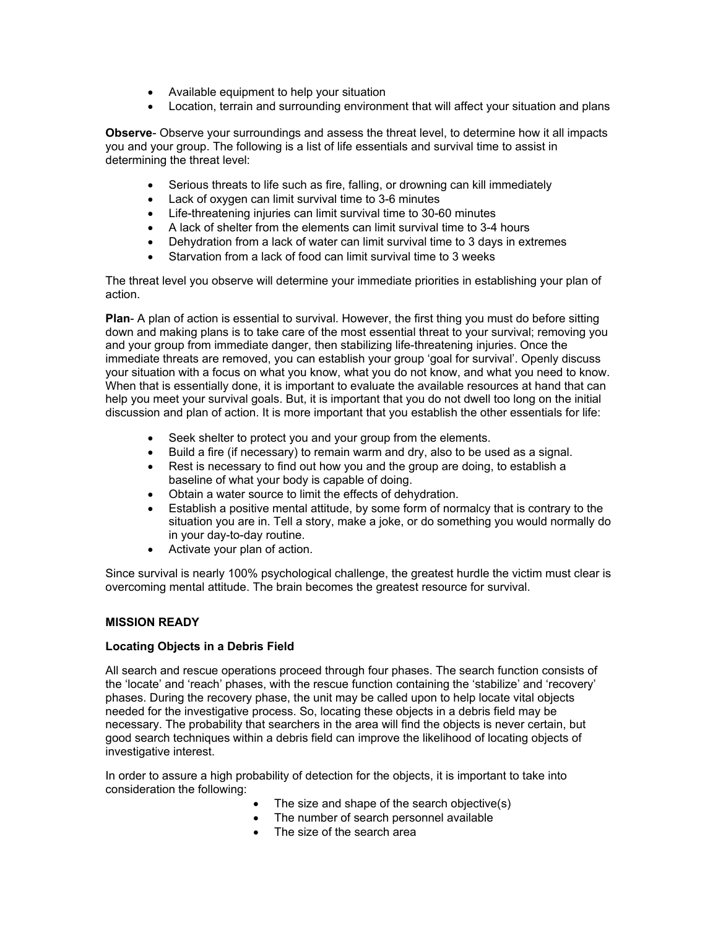- Available equipment to help your situation
- Location, terrain and surrounding environment that will affect your situation and plans

**Observe**- Observe your surroundings and assess the threat level, to determine how it all impacts you and your group. The following is a list of life essentials and survival time to assist in determining the threat level:

- Serious threats to life such as fire, falling, or drowning can kill immediately
- Lack of oxygen can limit survival time to 3-6 minutes
- Life-threatening injuries can limit survival time to 30-60 minutes
- A lack of shelter from the elements can limit survival time to 3-4 hours
- Dehydration from a lack of water can limit survival time to 3 days in extremes
- Starvation from a lack of food can limit survival time to 3 weeks

The threat level you observe will determine your immediate priorities in establishing your plan of action.

**Plan**- A plan of action is essential to survival. However, the first thing you must do before sitting down and making plans is to take care of the most essential threat to your survival; removing you and your group from immediate danger, then stabilizing life-threatening injuries. Once the immediate threats are removed, you can establish your group 'goal for survival'. Openly discuss your situation with a focus on what you know, what you do not know, and what you need to know. When that is essentially done, it is important to evaluate the available resources at hand that can help you meet your survival goals. But, it is important that you do not dwell too long on the initial discussion and plan of action. It is more important that you establish the other essentials for life:

- Seek shelter to protect you and your group from the elements.
- Build a fire (if necessary) to remain warm and dry, also to be used as a signal.
- Rest is necessary to find out how you and the group are doing, to establish a baseline of what your body is capable of doing.
- Obtain a water source to limit the effects of dehydration.
- Establish a positive mental attitude, by some form of normalcy that is contrary to the situation you are in. Tell a story, make a joke, or do something you would normally do in your day-to-day routine.
- Activate your plan of action.

Since survival is nearly 100% psychological challenge, the greatest hurdle the victim must clear is overcoming mental attitude. The brain becomes the greatest resource for survival.

#### **MISSION READY**

#### **Locating Objects in a Debris Field**

All search and rescue operations proceed through four phases. The search function consists of the 'locate' and 'reach' phases, with the rescue function containing the 'stabilize' and 'recovery' phases. During the recovery phase, the unit may be called upon to help locate vital objects needed for the investigative process. So, locating these objects in a debris field may be necessary. The probability that searchers in the area will find the objects is never certain, but good search techniques within a debris field can improve the likelihood of locating objects of investigative interest.

In order to assure a high probability of detection for the objects, it is important to take into consideration the following:

- The size and shape of the search objective(s)
- The number of search personnel available
- The size of the search area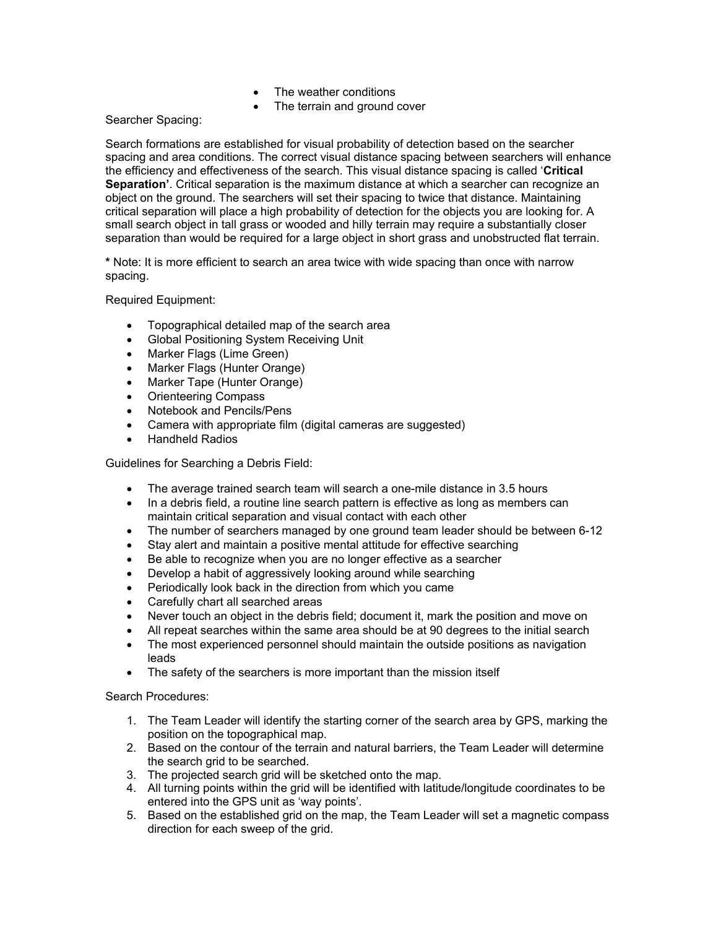- The weather conditions
- The terrain and ground cover

Searcher Spacing:

Search formations are established for visual probability of detection based on the searcher spacing and area conditions. The correct visual distance spacing between searchers will enhance the efficiency and effectiveness of the search. This visual distance spacing is called '**Critical Separation'**. Critical separation is the maximum distance at which a searcher can recognize an object on the ground. The searchers will set their spacing to twice that distance. Maintaining critical separation will place a high probability of detection for the objects you are looking for. A small search object in tall grass or wooded and hilly terrain may require a substantially closer separation than would be required for a large object in short grass and unobstructed flat terrain.

**\*** Note: It is more efficient to search an area twice with wide spacing than once with narrow spacing.

Required Equipment:

- Topographical detailed map of the search area
- Global Positioning System Receiving Unit
- Marker Flags (Lime Green)
- Marker Flags (Hunter Orange)
- Marker Tape (Hunter Orange)
- Orienteering Compass
- Notebook and Pencils/Pens
- Camera with appropriate film (digital cameras are suggested)
- Handheld Radios

Guidelines for Searching a Debris Field:

- The average trained search team will search a one-mile distance in 3.5 hours
- In a debris field, a routine line search pattern is effective as long as members can maintain critical separation and visual contact with each other
- The number of searchers managed by one ground team leader should be between 6-12
- Stay alert and maintain a positive mental attitude for effective searching
- Be able to recognize when you are no longer effective as a searcher
- Develop a habit of aggressively looking around while searching
- Periodically look back in the direction from which you came
- Carefully chart all searched areas
- Never touch an object in the debris field; document it, mark the position and move on
- All repeat searches within the same area should be at 90 degrees to the initial search
- The most experienced personnel should maintain the outside positions as navigation leads
- The safety of the searchers is more important than the mission itself

#### Search Procedures:

- 1. The Team Leader will identify the starting corner of the search area by GPS, marking the position on the topographical map.
- 2. Based on the contour of the terrain and natural barriers, the Team Leader will determine the search grid to be searched.
- 3. The projected search grid will be sketched onto the map.
- 4. All turning points within the grid will be identified with latitude/longitude coordinates to be entered into the GPS unit as 'way points'.
- 5. Based on the established grid on the map, the Team Leader will set a magnetic compass direction for each sweep of the grid.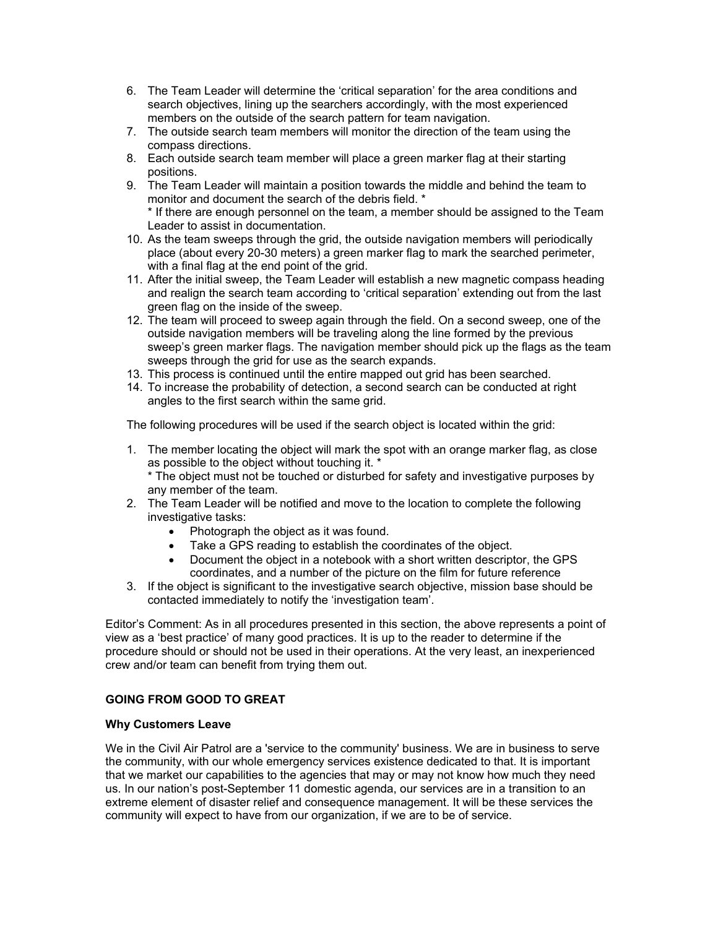- 6. The Team Leader will determine the 'critical separation' for the area conditions and search objectives, lining up the searchers accordingly, with the most experienced members on the outside of the search pattern for team navigation.
- 7. The outside search team members will monitor the direction of the team using the compass directions.
- 8. Each outside search team member will place a green marker flag at their starting positions.
- 9. The Team Leader will maintain a position towards the middle and behind the team to monitor and document the search of the debris field. \* \* If there are enough personnel on the team, a member should be assigned to the Team Leader to assist in documentation.
- 10. As the team sweeps through the grid, the outside navigation members will periodically place (about every 20-30 meters) a green marker flag to mark the searched perimeter, with a final flag at the end point of the grid.
- 11. After the initial sweep, the Team Leader will establish a new magnetic compass heading and realign the search team according to 'critical separation' extending out from the last green flag on the inside of the sweep.
- 12. The team will proceed to sweep again through the field. On a second sweep, one of the outside navigation members will be traveling along the line formed by the previous sweep's green marker flags. The navigation member should pick up the flags as the team sweeps through the grid for use as the search expands.
- 13. This process is continued until the entire mapped out grid has been searched.
- 14. To increase the probability of detection, a second search can be conducted at right angles to the first search within the same grid.

The following procedures will be used if the search object is located within the grid:

- 1. The member locating the object will mark the spot with an orange marker flag, as close as possible to the object without touching it. \* \* The object must not be touched or disturbed for safety and investigative purposes by any member of the team.
- 2. The Team Leader will be notified and move to the location to complete the following investigative tasks:
	- Photograph the object as it was found.
	- Take a GPS reading to establish the coordinates of the object.
	- Document the object in a notebook with a short written descriptor, the GPS coordinates, and a number of the picture on the film for future reference
- 3. If the object is significant to the investigative search objective, mission base should be contacted immediately to notify the 'investigation team'.

Editor's Comment: As in all procedures presented in this section, the above represents a point of view as a 'best practice' of many good practices. It is up to the reader to determine if the procedure should or should not be used in their operations. At the very least, an inexperienced crew and/or team can benefit from trying them out.

# **GOING FROM GOOD TO GREAT**

#### **Why Customers Leave**

We in the Civil Air Patrol are a 'service to the community' business. We are in business to serve the community, with our whole emergency services existence dedicated to that. It is important that we market our capabilities to the agencies that may or may not know how much they need us. In our nation's post-September 11 domestic agenda, our services are in a transition to an extreme element of disaster relief and consequence management. It will be these services the community will expect to have from our organization, if we are to be of service.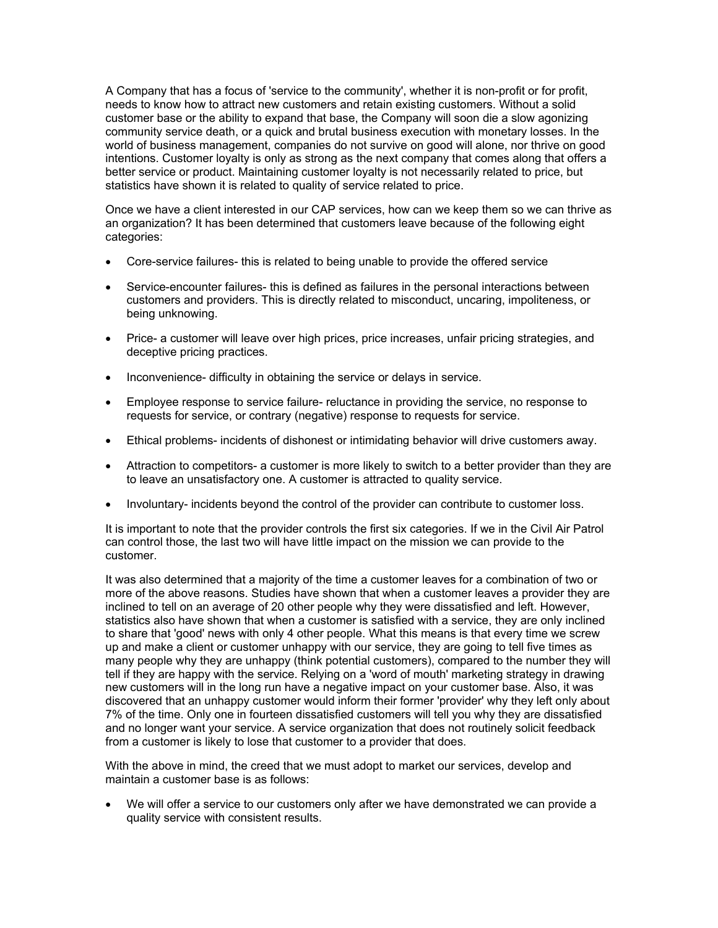A Company that has a focus of 'service to the community', whether it is non-profit or for profit, needs to know how to attract new customers and retain existing customers. Without a solid customer base or the ability to expand that base, the Company will soon die a slow agonizing community service death, or a quick and brutal business execution with monetary losses. In the world of business management, companies do not survive on good will alone, nor thrive on good intentions. Customer loyalty is only as strong as the next company that comes along that offers a better service or product. Maintaining customer loyalty is not necessarily related to price, but statistics have shown it is related to quality of service related to price.

Once we have a client interested in our CAP services, how can we keep them so we can thrive as an organization? It has been determined that customers leave because of the following eight categories:

- Core-service failures- this is related to being unable to provide the offered service
- Service-encounter failures- this is defined as failures in the personal interactions between customers and providers. This is directly related to misconduct, uncaring, impoliteness, or being unknowing.
- Price- a customer will leave over high prices, price increases, unfair pricing strategies, and deceptive pricing practices.
- Inconvenience- difficulty in obtaining the service or delays in service.
- Employee response to service failure- reluctance in providing the service, no response to requests for service, or contrary (negative) response to requests for service.
- Ethical problems- incidents of dishonest or intimidating behavior will drive customers away.
- Attraction to competitors- a customer is more likely to switch to a better provider than they are to leave an unsatisfactory one. A customer is attracted to quality service.
- Involuntary- incidents beyond the control of the provider can contribute to customer loss.

It is important to note that the provider controls the first six categories. If we in the Civil Air Patrol can control those, the last two will have little impact on the mission we can provide to the customer.

It was also determined that a majority of the time a customer leaves for a combination of two or more of the above reasons. Studies have shown that when a customer leaves a provider they are inclined to tell on an average of 20 other people why they were dissatisfied and left. However, statistics also have shown that when a customer is satisfied with a service, they are only inclined to share that 'good' news with only 4 other people. What this means is that every time we screw up and make a client or customer unhappy with our service, they are going to tell five times as many people why they are unhappy (think potential customers), compared to the number they will tell if they are happy with the service. Relying on a 'word of mouth' marketing strategy in drawing new customers will in the long run have a negative impact on your customer base. Also, it was discovered that an unhappy customer would inform their former 'provider' why they left only about 7% of the time. Only one in fourteen dissatisfied customers will tell you why they are dissatisfied and no longer want your service. A service organization that does not routinely solicit feedback from a customer is likely to lose that customer to a provider that does.

With the above in mind, the creed that we must adopt to market our services, develop and maintain a customer base is as follows:

• We will offer a service to our customers only after we have demonstrated we can provide a quality service with consistent results.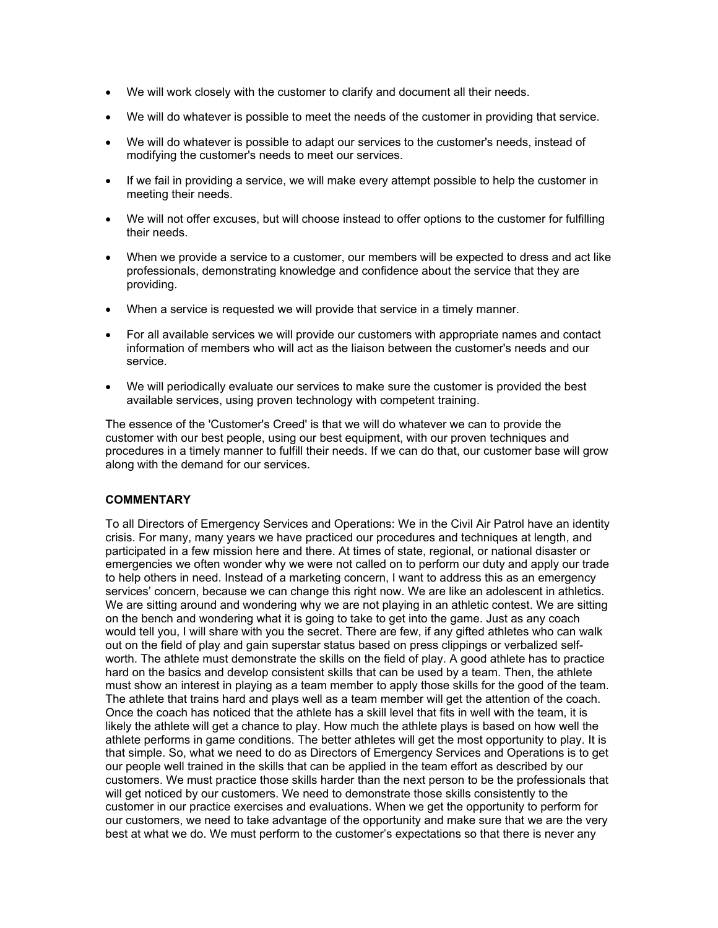- We will work closely with the customer to clarify and document all their needs.
- We will do whatever is possible to meet the needs of the customer in providing that service.
- We will do whatever is possible to adapt our services to the customer's needs, instead of modifying the customer's needs to meet our services.
- If we fail in providing a service, we will make every attempt possible to help the customer in meeting their needs.
- We will not offer excuses, but will choose instead to offer options to the customer for fulfilling their needs.
- When we provide a service to a customer, our members will be expected to dress and act like professionals, demonstrating knowledge and confidence about the service that they are providing.
- When a service is requested we will provide that service in a timely manner.
- For all available services we will provide our customers with appropriate names and contact information of members who will act as the liaison between the customer's needs and our service.
- We will periodically evaluate our services to make sure the customer is provided the best available services, using proven technology with competent training.

The essence of the 'Customer's Creed' is that we will do whatever we can to provide the customer with our best people, using our best equipment, with our proven techniques and procedures in a timely manner to fulfill their needs. If we can do that, our customer base will grow along with the demand for our services.

# **COMMENTARY**

To all Directors of Emergency Services and Operations: We in the Civil Air Patrol have an identity crisis. For many, many years we have practiced our procedures and techniques at length, and participated in a few mission here and there. At times of state, regional, or national disaster or emergencies we often wonder why we were not called on to perform our duty and apply our trade to help others in need. Instead of a marketing concern, I want to address this as an emergency services' concern, because we can change this right now. We are like an adolescent in athletics. We are sitting around and wondering why we are not playing in an athletic contest. We are sitting on the bench and wondering what it is going to take to get into the game. Just as any coach would tell you, I will share with you the secret. There are few, if any gifted athletes who can walk out on the field of play and gain superstar status based on press clippings or verbalized selfworth. The athlete must demonstrate the skills on the field of play. A good athlete has to practice hard on the basics and develop consistent skills that can be used by a team. Then, the athlete must show an interest in playing as a team member to apply those skills for the good of the team. The athlete that trains hard and plays well as a team member will get the attention of the coach. Once the coach has noticed that the athlete has a skill level that fits in well with the team, it is likely the athlete will get a chance to play. How much the athlete plays is based on how well the athlete performs in game conditions. The better athletes will get the most opportunity to play. It is that simple. So, what we need to do as Directors of Emergency Services and Operations is to get our people well trained in the skills that can be applied in the team effort as described by our customers. We must practice those skills harder than the next person to be the professionals that will get noticed by our customers. We need to demonstrate those skills consistently to the customer in our practice exercises and evaluations. When we get the opportunity to perform for our customers, we need to take advantage of the opportunity and make sure that we are the very best at what we do. We must perform to the customer's expectations so that there is never any